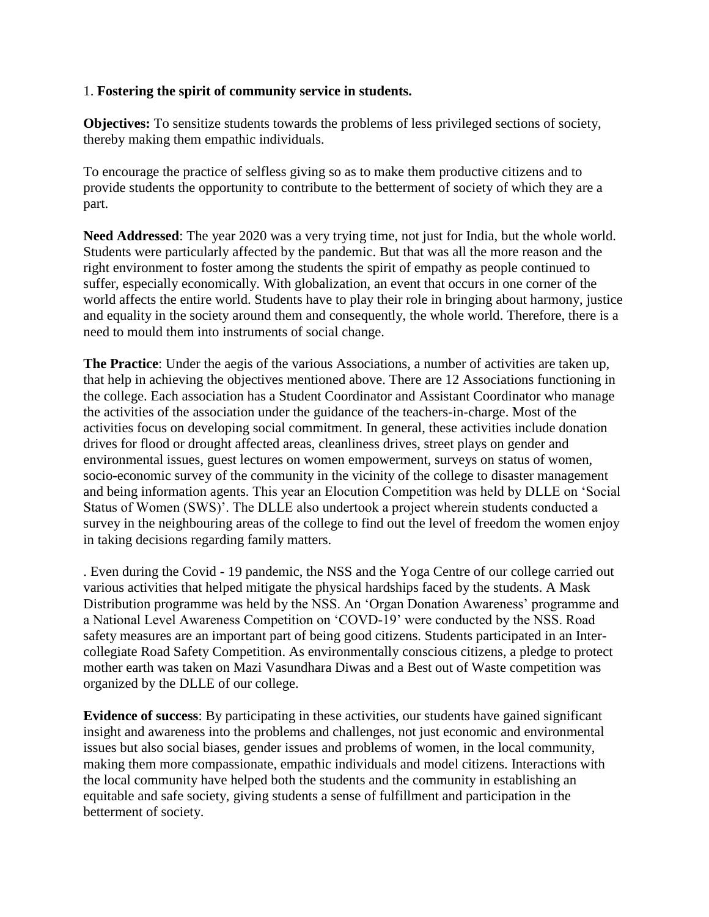## 1. **Fostering the spirit of community service in students.**

**Objectives:** To sensitize students towards the problems of less privileged sections of society, thereby making them empathic individuals.

To encourage the practice of selfless giving so as to make them productive citizens and to provide students the opportunity to contribute to the betterment of society of which they are a part.

**Need Addressed**: The year 2020 was a very trying time, not just for India, but the whole world. Students were particularly affected by the pandemic. But that was all the more reason and the right environment to foster among the students the spirit of empathy as people continued to suffer, especially economically. With globalization, an event that occurs in one corner of the world affects the entire world. Students have to play their role in bringing about harmony, justice and equality in the society around them and consequently, the whole world. Therefore, there is a need to mould them into instruments of social change.

**The Practice**: Under the aegis of the various Associations, a number of activities are taken up, that help in achieving the objectives mentioned above. There are 12 Associations functioning in the college. Each association has a Student Coordinator and Assistant Coordinator who manage the activities of the association under the guidance of the teachers-in-charge. Most of the activities focus on developing social commitment. In general, these activities include donation drives for flood or drought affected areas, cleanliness drives, street plays on gender and environmental issues, guest lectures on women empowerment, surveys on status of women, socio-economic survey of the community in the vicinity of the college to disaster management and being information agents. This year an Elocution Competition was held by DLLE on 'Social Status of Women (SWS)'. The DLLE also undertook a project wherein students conducted a survey in the neighbouring areas of the college to find out the level of freedom the women enjoy in taking decisions regarding family matters.

. Even during the Covid - 19 pandemic, the NSS and the Yoga Centre of our college carried out various activities that helped mitigate the physical hardships faced by the students. A Mask Distribution programme was held by the NSS. An 'Organ Donation Awareness' programme and a National Level Awareness Competition on 'COVD-19' were conducted by the NSS. Road safety measures are an important part of being good citizens. Students participated in an Intercollegiate Road Safety Competition. As environmentally conscious citizens, a pledge to protect mother earth was taken on Mazi Vasundhara Diwas and a Best out of Waste competition was organized by the DLLE of our college.

**Evidence of success**: By participating in these activities, our students have gained significant insight and awareness into the problems and challenges, not just economic and environmental issues but also social biases, gender issues and problems of women, in the local community, making them more compassionate, empathic individuals and model citizens. Interactions with the local community have helped both the students and the community in establishing an equitable and safe society, giving students a sense of fulfillment and participation in the betterment of society.